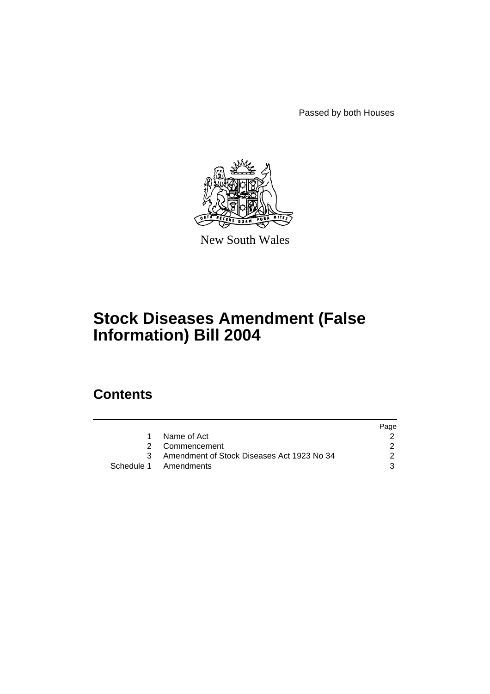Passed by both Houses



New South Wales

# **Stock Diseases Amendment (False Information) Bill 2004**

# **Contents**

|   |                                              | Page |
|---|----------------------------------------------|------|
| 1 | Name of Act                                  |      |
|   | 2 Commencement                               |      |
|   | 3 Amendment of Stock Diseases Act 1923 No 34 |      |
|   | Schedule 1 Amendments                        |      |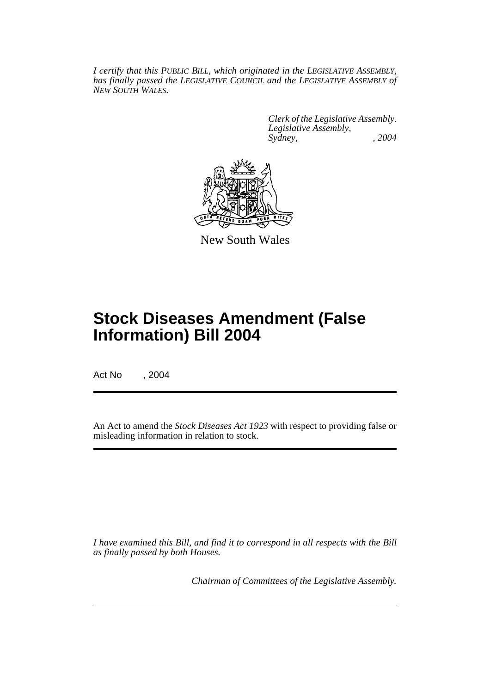*I certify that this PUBLIC BILL, which originated in the LEGISLATIVE ASSEMBLY, has finally passed the LEGISLATIVE COUNCIL and the LEGISLATIVE ASSEMBLY of NEW SOUTH WALES.*

> *Clerk of the Legislative Assembly. Legislative Assembly, Sydney, , 2004*



New South Wales

# **Stock Diseases Amendment (False Information) Bill 2004**

Act No , 2004

An Act to amend the *Stock Diseases Act 1923* with respect to providing false or misleading information in relation to stock.

*I have examined this Bill, and find it to correspond in all respects with the Bill as finally passed by both Houses.*

*Chairman of Committees of the Legislative Assembly.*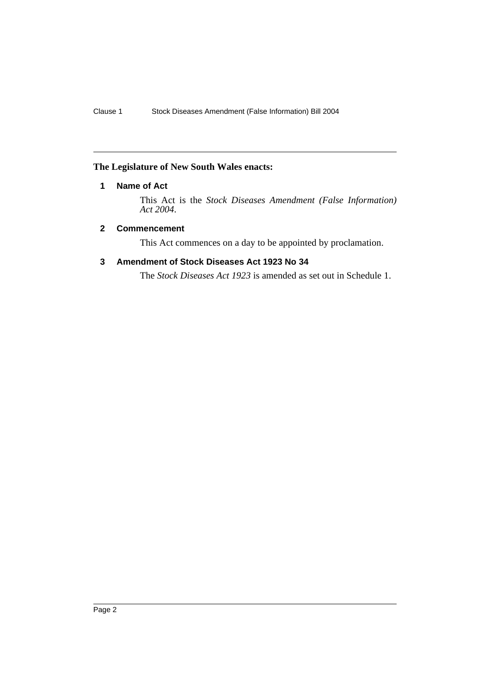### **The Legislature of New South Wales enacts:**

### **1 Name of Act**

This Act is the *Stock Diseases Amendment (False Information) Act 2004*.

#### **2 Commencement**

This Act commences on a day to be appointed by proclamation.

#### **3 Amendment of Stock Diseases Act 1923 No 34**

The *Stock Diseases Act 1923* is amended as set out in Schedule 1.